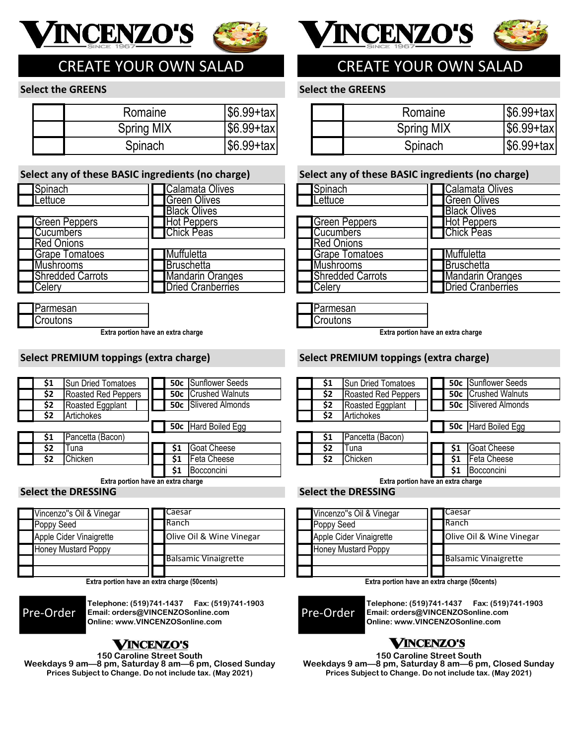



# CREATE YOUR OWN SALAD

### **Select the GREENS**

| Romaine           | $ $6.99+tax $      |
|-------------------|--------------------|
| <b>Spring MIX</b> | $\sqrt{6.99}$ +tax |
| Spinach           | $ $6.99+tax $      |

### **Select any of these BASIC ingredients (no charge)**

| Spinach                 | Calamata Olives          |
|-------------------------|--------------------------|
| Lettuce                 | <b>Green Olives</b>      |
|                         | <b>Black Olives</b>      |
| <b>Green Peppers</b>    | <b>Hot Peppers</b>       |
| <b>Cucumbers</b>        | <b>Chick Peas</b>        |
| <b>Red Onions</b>       |                          |
| <b>Grape Tomatoes</b>   | Muffuletta               |
| <b>Mushrooms</b>        | Bruschetta               |
| <b>Shredded Carrots</b> | <b>Mandarin Oranges</b>  |
| Celery                  | <b>Dried Cranberries</b> |

Parmesan Croutons

**Extra portion have an extra charge**

### **Select PREMIUM toppings (extra charge)**

| S1  | <b>Sun Dried Tomatoes</b> |    | <b>50c</b> Sunflower Seeds  | S1  | <b>Sun Dried Tomatoes</b>  |
|-----|---------------------------|----|-----------------------------|-----|----------------------------|
| \$2 | Roasted Red Peppers       |    | <b>50c</b> Crushed Walnuts  | \$2 | <b>Roasted Red Peppers</b> |
| \$2 | Roasted Eggplant          |    | <b>50c</b> Slivered Almonds | \$2 | Roasted Eggplant           |
| \$2 | Artichokes                |    |                             | \$2 | Artichokes                 |
|     |                           |    | <b>50c</b> Hard Boiled Egg  |     |                            |
|     | Pancetta (Bacon)          |    |                             |     | Pancetta (Bacon)           |
| \$2 | Tuna                      | S1 | Goat Cheese                 | \$2 | Tuna                       |
| \$2 | Chicken                   | S1 | Feta Cheese                 | \$2 | Chicken                    |
|     |                           | Ś1 | Bocconcini                  |     |                            |

**Extra portion have an extra charge**

### **Select the DRESSING**

| Vincenzo"s Oil & Vinegar   | Caesar                      |
|----------------------------|-----------------------------|
| <b>Poppy Seed</b>          | <b>Ranch</b>                |
| Apple Cider Vinaigrette    | Olive Oil & Wine Vinegar    |
| <b>Honey Mustard Poppy</b> |                             |
|                            | <b>Balsamic Vinaigrette</b> |
|                            |                             |

**Extra portion have an extra charge (50cents)**



**Telephone: (519)741-1437 Fax: (519)741-1903 Email: orders@VINCENZOSonline.com Online: www.VINCENZOSonline.com**

## **VINCENZO'S**

**150 Caroline Street South** 

**Weekdays 9 am—8 pm, Saturday 8 am—6 pm, Closed Sunday Prices Subject to Change. Do not include tax. (May 2021)**





# CREATE YOUR OWN SALAD

### **Select the GREENS**

| Romaine           | $ $6.99+tax $ |
|-------------------|---------------|
| <b>Spring MIX</b> | $ $6.99+tax $ |
| Spinach           | $ $6.99+tax $ |

### **Select any of these BASIC ingredients (no charge)**

| Spinach                 | Calamata Olives          |
|-------------------------|--------------------------|
| Lettuce                 | <b>Green Olives</b>      |
|                         | <b>Black Olives</b>      |
| <b>Green Peppers</b>    | <b>Hot Peppers</b>       |
| <b>Cucumbers</b>        | <b>Chick Peas</b>        |
| <b>Red Onions</b>       |                          |
| <b>Grape Tomatoes</b>   | Muffuletta               |
| <b>Mushrooms</b>        | <b>Bruschetta</b>        |
| <b>Shredded Carrots</b> | <b>Mandarin Oranges</b>  |
| Celery                  | <b>Dried Cranberries</b> |
|                         |                          |



**Extra portion have an extra charge**

### **Select PREMIUM toppings (extra charge)**

| \$1 | <b>Sun Dried Tomatoes</b> |     | <b>50c</b> Sunflower Seeds  |  |  |
|-----|---------------------------|-----|-----------------------------|--|--|
| \$2 | Roasted Red Peppers       |     | <b>50c</b> Crushed Walnuts  |  |  |
| \$2 | Roasted Eggplant          |     | <b>50c</b> Slivered Almonds |  |  |
| \$2 | Artichokes                |     |                             |  |  |
|     |                           |     | 50c Hard Boiled Egg         |  |  |
| \$1 | Pancetta (Bacon)          |     |                             |  |  |
| \$2 | Tuna                      | \$1 | Goat Cheese                 |  |  |
| \$2 | Chicken                   | \$1 | Feta Cheese                 |  |  |
|     |                           |     | Bocconcini                  |  |  |

**Extra portion have an extra charge**

**Select the DRESSING**

| Vincenzo"s Oil & Vinegar   | Caesar                      |
|----------------------------|-----------------------------|
| Poppy Seed                 | <b>T</b> Ranch              |
| Apple Cider Vinaigrette    | Olive Oil & Wine Vinegar    |
| <b>Honey Mustard Poppy</b> |                             |
|                            | <b>Balsamic Vinaigrette</b> |
|                            |                             |

**Extra portion have an extra charge (50cents)**

Pre-Order

**Telephone: (519)741-1437 Fax: (519)741-1903 Email: orders@VINCENZOSonline.com Online: www.VINCENZOSonline.com**

## **VINCENZO'S**

**150 Caroline Street South Weekdays 9 am—8 pm, Saturday 8 am—6 pm, Closed Sunday Prices Subject to Change. Do not include tax. (May 2021)**